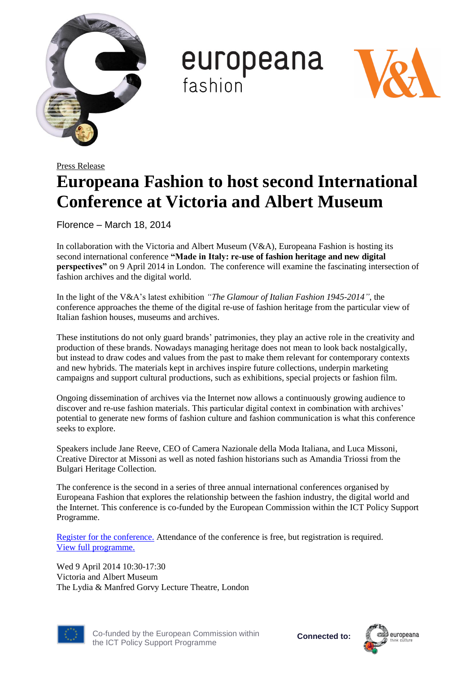

europeana fashion



## Press Release **Europeana Fashion to host second International Conference at Victoria and Albert Museum**

Florence – March 18, 2014

In collaboration with the Victoria and Albert Museum (V&A), Europeana Fashion is hosting its second international conference **"Made in Italy: re-use of fashion heritage and new digital perspectives"** on 9 April 2014 in London. The conference will examine the fascinating intersection of fashion archives and the digital world.

In the light of the V&A's latest exhibition *"The Glamour of Italian Fashion 1945-2014"*, the conference approaches the theme of the digital re-use of fashion heritage from the particular view of Italian fashion houses, museums and archives.

These institutions do not only guard brands' patrimonies, they play an active role in the creativity and production of these brands. Nowadays managing heritage does not mean to look back nostalgically, but instead to draw codes and values from the past to make them relevant for contemporary contexts and new hybrids. The materials kept in archives inspire future collections, underpin marketing campaigns and support cultural productions, such as exhibitions, special projects or fashion film.

Ongoing dissemination of archives via the Internet now allows a continuously growing audience to discover and re-use fashion materials. This particular digital context in combination with archives' potential to generate new forms of fashion culture and fashion communication is what this conference seeks to explore.

Speakers include Jane Reeve, CEO of Camera Nazionale della Moda Italiana, and Luca Missoni, Creative Director at Missoni as well as noted fashion historians such as Amandia Triossi from the Bulgari Heritage Collection.

The conference is the second in a series of three annual international conferences organised by Europeana Fashion that explores the relationship between the fashion industry, the digital world and the Internet. This conference is co-funded by the European Commission within the ICT Policy Support Programme.

[Register for the conference.](https://transactions.vam.ac.uk/peo/loader.asp?target=hall.asp%3Fevent%3D203832&whatson_referer=http%3A//iris.vam.ac.uk/whatson/event/3139/made-in-italy-re-use-of-fashion-heritage-and-new-digital-perspe-4542/&whatson_token=b22c01b7134dd4fcca982c4b8ff11b51&whatson_event=3139) Attendance of the conference is free, but registration is required. [View full programme.](http://www.vam.ac.uk/whatson/media/uploads/files/Made_in_Italy_programme_2.pdf)

Wed 9 April 2014 10:30-17:30 Victoria and Albert Museum The Lydia & Manfred Gorvy Lecture Theatre, London



Co-funded by the European Commission within the ICT Policy Support Programme

**Connected to:**